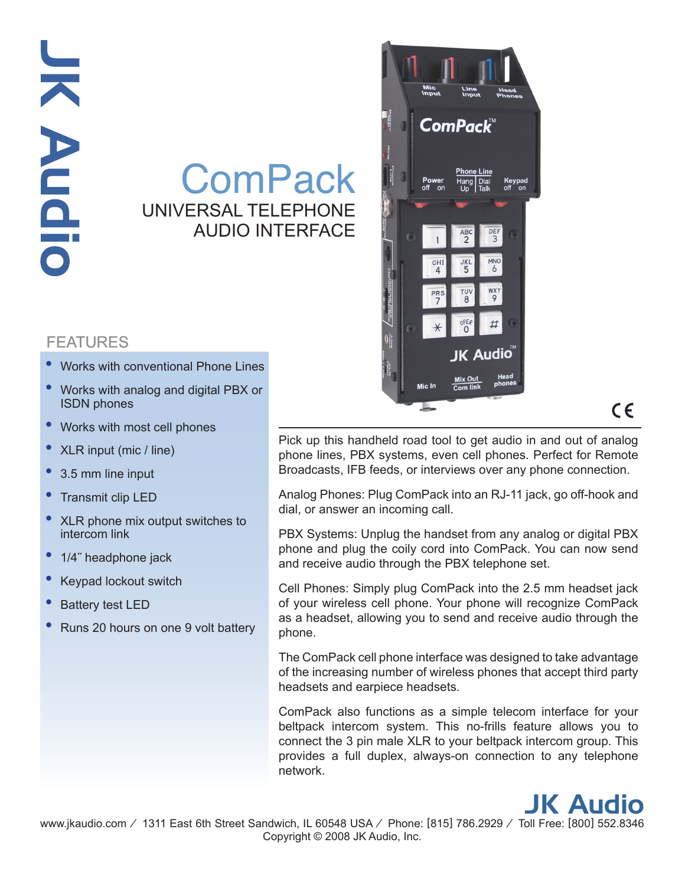## JK Audio **JK Audic**

## **ComPack** UNIVERSAL TELEPHONE AUDIO INTERFACE

## FEATURES

- Works with conventional Phone Lines •
- Works with analog and digital PBX or ISDN phones
- Works with most cell phones •
- XLR input (mic / line)
- 3.5 mm line input •
- Transmit clip LED •
- XLR phone mix output switches to intercom link
- 1/4˝ headphone jack •
- Keypad lockout switch •
- Battery test LED •
- Runs 20 hours on one 9 volt battery •



## $\epsilon$

Pick up this handheld road tool to get audio in and out of analog phone lines, PBX systems, even cell phones. Perfect for Remote Broadcasts, IFB feeds, or interviews over any phone connection.

Analog Phones: Plug ComPack into an RJ-11 jack, go off-hook and dial, or answer an incoming call.

PBX Systems: Unplug the handset from any analog or digital PBX phone and plug the coily cord into ComPack. You can now send and receive audio through the PBX telephone set.

Cell Phones: Simply plug ComPack into the 2.5 mm headset jack of your wireless cell phone. Your phone will recognize ComPack as a headset, allowing you to send and receive audio through the phone.

The ComPack cell phone interface was designed to take advantage of the increasing number of wireless phones that accept third party headsets and earpiece headsets.

ComPack also functions as a simple telecom interface for your beltpack intercom system. This no-frills feature allows you to connect the 3 pin male XLR to your beltpack intercom group. This provides a full duplex, always-on connection to any telephone network.